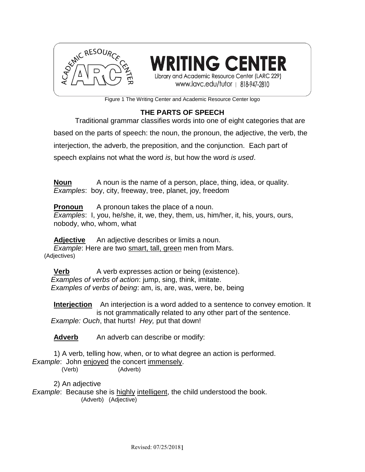

**RITING CENTER** Library and Academic Resource Center (LARC 229) www.lavc.edu/tutor | 818-947-2810

Figure 1 The Writing Center and Academic Resource Center logo

## **THE PARTS OF SPEECH**

Traditional grammar classifies words into one of eight categories that are based on the parts of speech: the noun, the pronoun, the adjective, the verb, the interjection, the adverb, the preposition, and the conjunction. Each part of speech explains not what the word *is*, but how the word *is used*.

**Noun** A noun is the name of a person, place, thing, idea, or quality. *Examples*: boy, city, freeway, tree, planet, joy, freedom

**Pronoun** A pronoun takes the place of a noun.

*Examples*: I, you, he/she, it, we, they, them, us, him/her, it, his, yours, ours, nobody, who, whom, what

**Adjective** An adjective describes or limits a noun. *Example*: Here are two smart, tall, green men from Mars. (Adjectives)

**Verb** A verb expresses action or being (existence). *Examples of verbs of action*: jump, sing, think, imitate. *Examples of verbs of being*: am, is, are, was, were, be, being

**Interjection** An interjection is a word added to a sentence to convey emotion. It is not grammatically related to any other part of the sentence. *Example: Ouch, that hurts! Hey, put that down!* 

Adverb An adverb can describe or modify:

1) A verb, telling how, when, or to what degree an action is performed. *Example*: John enjoyed the concert immensely. (Verb) (Adverb)

2) An adjective

*Example*: Because she is highly intelligent, the child understood the book. (Adverb) (Adjective)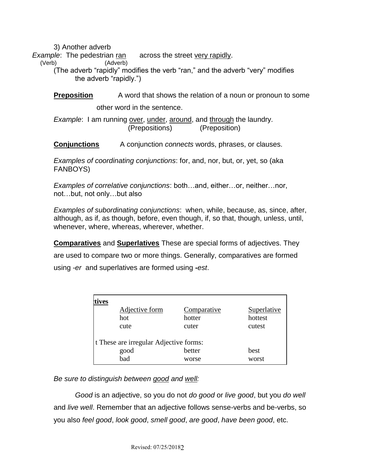3) Another adverb

*Example*: The pedestrian ran across the street very rapidly.

(Verb) (Adverb)

(The adverb "rapidly" modifies the verb "ran," and the adverb "very" modifies the adverb "rapidly.")

**Preposition** A word that shows the relation of a noun or pronoun to some

other word in the sentence.

*Example*: I am running over, under, around, and through the laundry. (Prepositions) (Preposition)

**Conjunctions** A conjunction *connects* words, phrases, or clauses.

*Examples of coordinating conjunctions*: for, and, nor, but, or, yet, so (aka FANBOYS)

*Examples of correlative conjunctions*: both…and, either…or, neither…nor, not…but, not only…but also

*Examples of subordinating conjunctions*: when, while, because, as, since, after, although, as if, as though, before, even though, if, so that, though, unless, until, whenever, where, whereas, wherever, whether.

**Comparatives** and **Superlatives** These are special forms of adjectives. They are used to compare two or more things. Generally, comparatives are formed using *-er* and superlatives are formed using **-***est*.

| Adjective form                         | Comparative | Superlative |
|----------------------------------------|-------------|-------------|
| hot                                    | hotter      | hottest     |
| cute                                   | cuter       | cutest      |
| t These are irregular Adjective forms: |             |             |
| good                                   | better      | best        |
| bad                                    | worse       | worst       |

*Be sure to distinguish between good and well:*

*Good* is an adjective, so you do not *do good* or *live good*, but you *do well* and *live well*. Remember that an adjective follows sense-verbs and be-verbs, so you also *feel good*, *look good*, *smell good*, *are good*, *have been good*, etc.